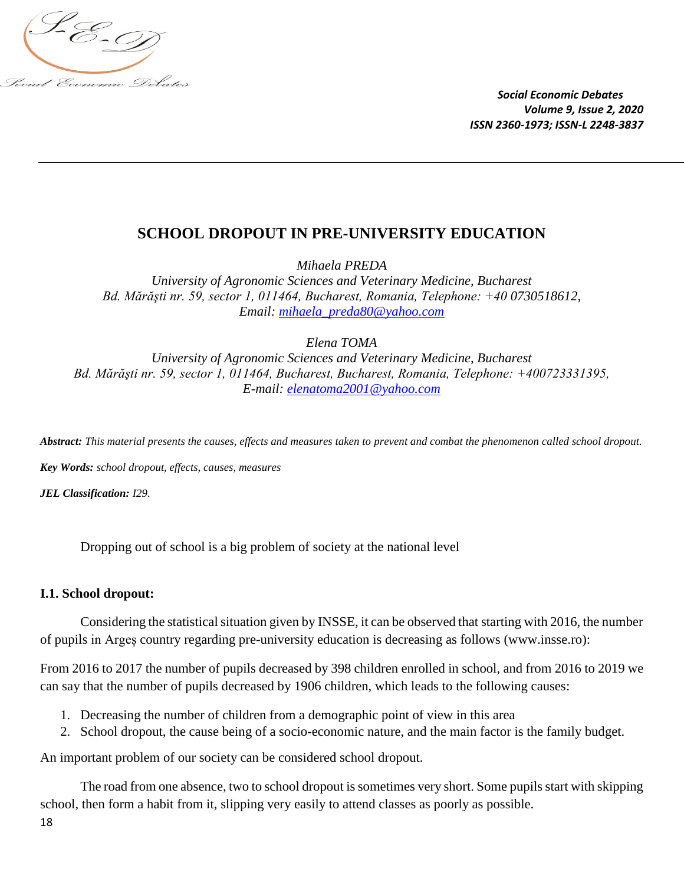

# **SCHOOL DROPOUT IN PRE-UNIVERSITY EDUCATION**

*Mihaela PREDA* 

*University of Agronomic Sciences and Veterinary Medicine, Bucharest Bd. Mărăşti nr. 59, sector 1, 011464, Bucharest, Romania, Telephone: +40 0730518612, Email: mihaela\_preda80@yahoo.com*

*Elena TOMA*

*University of Agronomic Sciences and Veterinary Medicine, Bucharest Bd. Mărăşti nr. 59, sector 1, 011464, Bucharest, Bucharest, Romania, Telephone: +400723331395, E-mail: [elenatoma2001@yahoo.com](mailto:elenatoma2001@yahoo.com)*

*Abstract: This material presents the causes, effects and measures taken to prevent and combat the phenomenon called school dropout.*

*Key Words: school dropout, effects, causes, measures* 

*JEL Classification: I29.*

Dropping out of school is a big problem of society at the national level

#### **I.1. School dropout:**

Considering the statistical situation given by INSSE, it can be observed that starting with 2016, the number of pupils in Argeș country regarding pre-university education is decreasing as follows (www.insse.ro):

From 2016 to 2017 the number of pupils decreased by 398 children enrolled in school, and from 2016 to 2019 we can say that the number of pupils decreased by 1906 children, which leads to the following causes:

- 1. Decreasing the number of children from a demographic point of view in this area
- 2. School dropout, the cause being of a socio-economic nature, and the main factor is the family budget.

An important problem of our society can be considered school dropout.

The road from one absence, two to school dropout is sometimes very short. Some pupils start with skipping school, then form a habit from it, slipping very easily to attend classes as poorly as possible.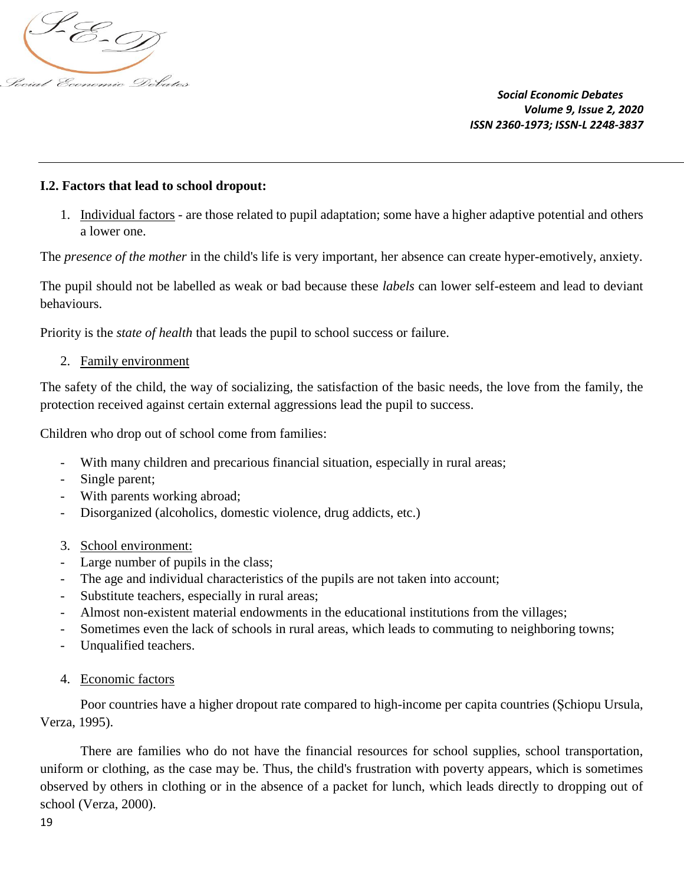

## **I.2. Factors that lead to school dropout:**

1. Individual factors - are those related to pupil adaptation; some have a higher adaptive potential and others a lower one.

The *presence of the mother* in the child's life is very important, her absence can create hyper-emotively, anxiety.

The pupil should not be labelled as weak or bad because these *labels* can lower self-esteem and lead to deviant behaviours.

Priority is the *state of health* that leads the pupil to school success or failure.

#### 2. Family environment

The safety of the child, the way of socializing, the satisfaction of the basic needs, the love from the family, the protection received against certain external aggressions lead the pupil to success.

Children who drop out of school come from families:

- With many children and precarious financial situation, especially in rural areas;
- Single parent;
- With parents working abroad;
- Disorganized (alcoholics, domestic violence, drug addicts, etc.)
- 3. School environment:
- Large number of pupils in the class;
- The age and individual characteristics of the pupils are not taken into account;
- Substitute teachers, especially in rural areas;
- Almost non-existent material endowments in the educational institutions from the villages;
- Sometimes even the lack of schools in rural areas, which leads to commuting to neighboring towns;
- Unqualified teachers.
- 4. Economic factors

Poor countries have a higher dropout rate compared to high-income per capita countries (Șchiopu Ursula, Verza, 1995).

There are families who do not have the financial resources for school supplies, school transportation, uniform or clothing, as the case may be. Thus, the child's frustration with poverty appears, which is sometimes observed by others in clothing or in the absence of a packet for lunch, which leads directly to dropping out of school (Verza, 2000).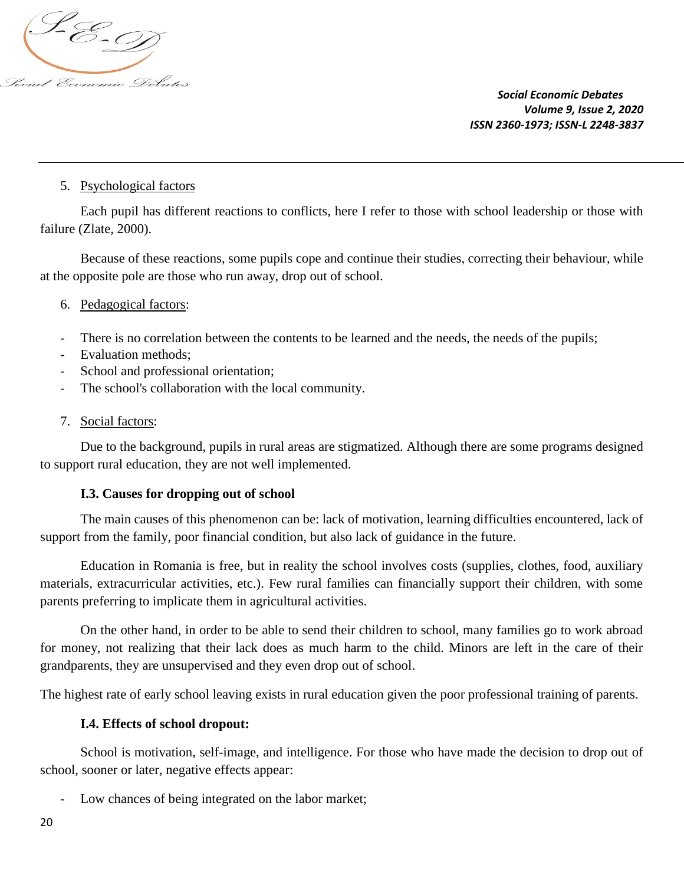

## 5. Psychological factors

Each pupil has different reactions to conflicts, here I refer to those with school leadership or those with failure (Zlate, 2000).

Because of these reactions, some pupils cope and continue their studies, correcting their behaviour, while at the opposite pole are those who run away, drop out of school.

## 6. Pedagogical factors:

- There is no correlation between the contents to be learned and the needs, the needs of the pupils;
- Evaluation methods;
- School and professional orientation;
- The school's collaboration with the local community.

#### 7. Social factors:

Due to the background, pupils in rural areas are stigmatized. Although there are some programs designed to support rural education, they are not well implemented.

#### **I.3. Causes for dropping out of school**

The main causes of this phenomenon can be: lack of motivation, learning difficulties encountered, lack of support from the family, poor financial condition, but also lack of guidance in the future.

Education in Romania is free, but in reality the school involves costs (supplies, clothes, food, auxiliary materials, extracurricular activities, etc.). Few rural families can financially support their children, with some parents preferring to implicate them in agricultural activities.

On the other hand, in order to be able to send their children to school, many families go to work abroad for money, not realizing that their lack does as much harm to the child. Minors are left in the care of their grandparents, they are unsupervised and they even drop out of school.

The highest rate of early school leaving exists in rural education given the poor professional training of parents.

#### **I.4. Effects of school dropout:**

School is motivation, self-image, and intelligence. For those who have made the decision to drop out of school, sooner or later, negative effects appear:

Low chances of being integrated on the labor market;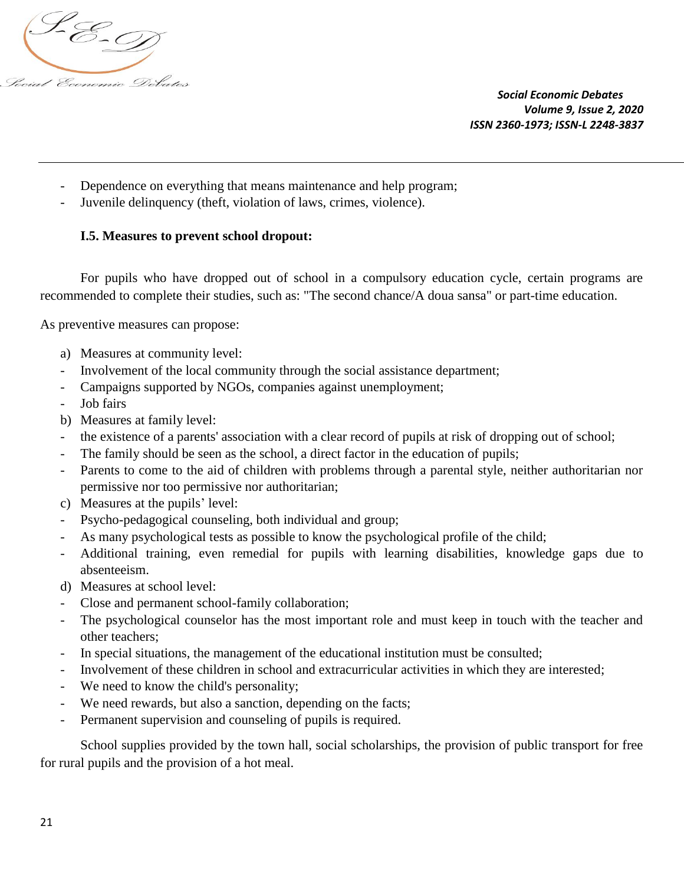

- Dependence on everything that means maintenance and help program;
- Juvenile delinquency (theft, violation of laws, crimes, violence).

# **I.5. Measures to prevent school dropout:**

For pupils who have dropped out of school in a compulsory education cycle, certain programs are recommended to complete their studies, such as: "The second chance/A doua sansa" or part-time education.

As preventive measures can propose:

- a) Measures at community level:
- Involvement of the local community through the social assistance department;
- Campaigns supported by NGOs, companies against unemployment;
- Job fairs
- b) Measures at family level:
- the existence of a parents' association with a clear record of pupils at risk of dropping out of school;
- The family should be seen as the school, a direct factor in the education of pupils;
- Parents to come to the aid of children with problems through a parental style, neither authoritarian nor permissive nor too permissive nor authoritarian;
- c) Measures at the pupils' level:
- Psycho-pedagogical counseling, both individual and group;
- As many psychological tests as possible to know the psychological profile of the child;
- Additional training, even remedial for pupils with learning disabilities, knowledge gaps due to absenteeism.
- d) Measures at school level:
- Close and permanent school-family collaboration;
- The psychological counselor has the most important role and must keep in touch with the teacher and other teachers;
- In special situations, the management of the educational institution must be consulted;
- Involvement of these children in school and extracurricular activities in which they are interested;
- We need to know the child's personality;
- We need rewards, but also a sanction, depending on the facts;
- Permanent supervision and counseling of pupils is required.

School supplies provided by the town hall, social scholarships, the provision of public transport for free for rural pupils and the provision of a hot meal.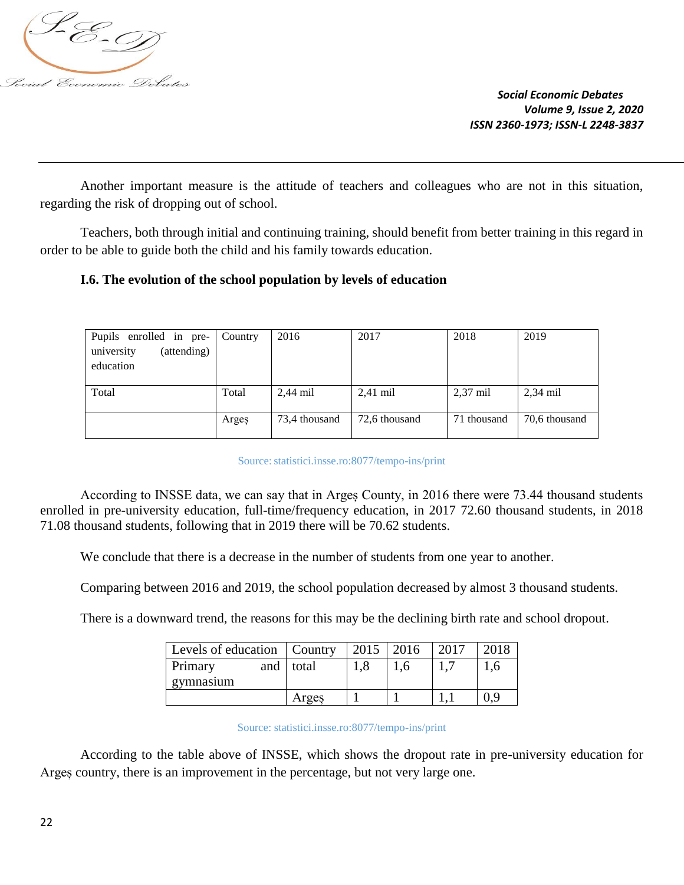

Another important measure is the attitude of teachers and colleagues who are not in this situation, regarding the risk of dropping out of school.

Teachers, both through initial and continuing training, should benefit from better training in this regard in order to be able to guide both the child and his family towards education.

# **I.6. The evolution of the school population by levels of education**

| Pupils enrolled in pre-   | Country | 2016          | 2017          | 2018               | 2019          |
|---------------------------|---------|---------------|---------------|--------------------|---------------|
| university<br>(attending) |         |               |               |                    |               |
| education                 |         |               |               |                    |               |
|                           |         |               |               |                    |               |
| Total                     | Total   | $2.44$ mil    | $2,41$ mil    | $2,37 \text{ mil}$ | $2,34$ mil    |
|                           |         |               |               |                    |               |
|                           | Arges   | 73,4 thousand | 72,6 thousand | 71 thousand        | 70.6 thousand |
|                           |         |               |               |                    |               |

#### Source: statistici.insse.ro:8077/tempo-ins/print

According to INSSE data, we can say that in Arges County, in 2016 there were 73.44 thousand students enrolled in pre-university education, full-time/frequency education, in 2017 72.60 thousand students, in 2018 71.08 thousand students, following that in 2019 there will be 70.62 students.

We conclude that there is a decrease in the number of students from one year to another.

Comparing between 2016 and 2019, the school population decreased by almost 3 thousand students.

There is a downward trend, the reasons for this may be the declining birth rate and school dropout.

| Levels of education   Country |     |       | $2015$   2016 |                | 2017 | 2018 |
|-------------------------------|-----|-------|---------------|----------------|------|------|
| Primary                       | and | total | 1.8           | $\mathbf{0}$ . |      | 0.1  |
| gymnasium                     |     |       |               |                |      |      |
|                               |     | Arges |               |                |      | 0.9  |

Source: statistici.insse.ro:8077/tempo-ins/print

According to the table above of INSSE, which shows the dropout rate in pre-university education for Argeș country, there is an improvement in the percentage, but not very large one.